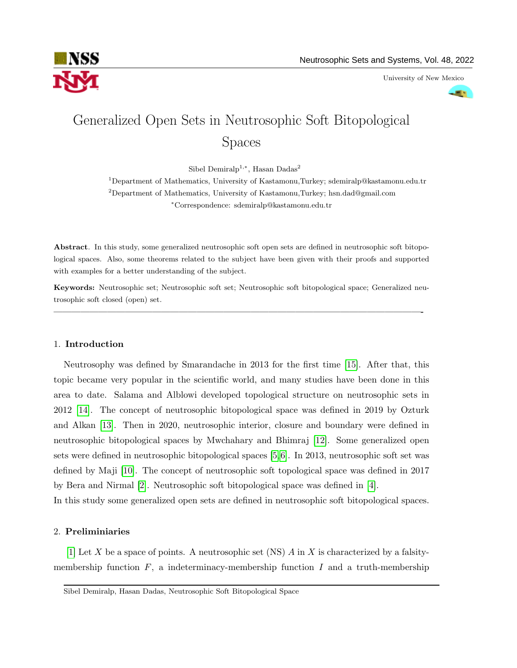

University of New Mexico



# Generalized Open Sets in Neutrosophic Soft Bitopological Spaces

Sibel Demiralp<sup>1,\*</sup>, Hasan Dadas<sup>2</sup>

 $^1$ Department of Mathematics, University of Kastamonu,Turkey; sdemiralp@kastamonu.edu.tr <sup>2</sup>Department of Mathematics, University of Kastamonu,Turkey; hsn.dad@gmail.com <sup>∗</sup>Correspondence: sdemiralp@kastamonu.edu.tr

Abstract. In this study, some generalized neutrosophic soft open sets are defined in neutrosophic soft bitopological spaces. Also, some theorems related to the subject have been given with their proofs and supported with examples for a better understanding of the subject.

Keywords: Neutrosophic set; Neutrosophic soft set; Neutrosophic soft bitopological space; Generalized neutrosophic soft closed (open) set.

—————————————————————————————————————————-

# 1. Introduction

Neutrosophy was defined by Smarandache in 2013 for the first time [\[15\]](#page-16-0). After that, this topic became very popular in the scientific world, and many studies have been done in this area to date. Salama and Alblowi developed topological structure on neutrosophic sets in 2012 [\[14\]](#page-16-1). The concept of neutrosophic bitopological space was defined in 2019 by Ozturk and Alkan [\[13\]](#page-16-2). Then in 2020, neutrosophic interior, closure and boundary were defined in neutrosophic bitopological spaces by Mwchahary and Bhimraj [\[12\]](#page-16-3). Some generalized open sets were defined in neutrosophic bitopological spaces [\[5,](#page-16-4)[6\]](#page-16-5). In 2013, neutrosophic soft set was defined by Maji [\[10\]](#page-16-6). The concept of neutrosophic soft topological space was defined in 2017 by Bera and Nirmal [\[2\]](#page-16-7). Neutrosophic soft bitopological space was defined in [\[4\]](#page-16-8).

In this study some generalized open sets are defined in neutrosophic soft bitopological spaces.

# 2. Preliminiaries

[\[1\]](#page-16-9) Let X be a space of points. A neutrosophic set (NS) A in X is characterized by a falsitymembership function  $F$ , a indeterminacy-membership function  $I$  and a truth-membership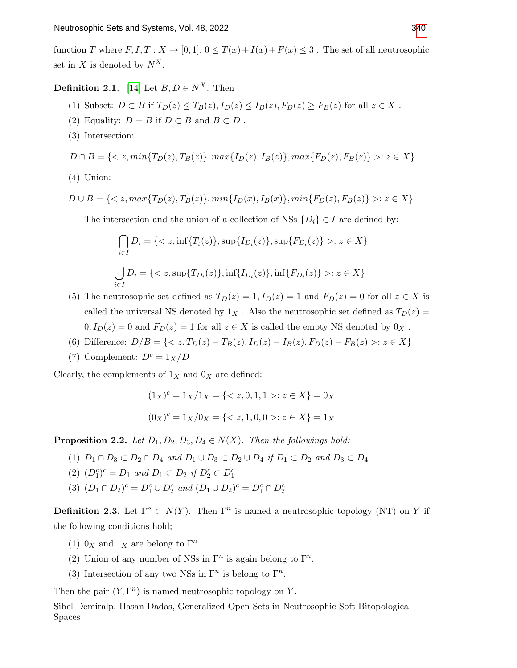function T where  $F, I, T: X \to [0, 1], 0 \leq T(x) + I(x) + F(x) \leq 3$ . The set of all neutrosophic set in X is denoted by  $N^X$ .

**Definition 2.1.** [\[14\]](#page-16-1) Let  $B, D \in N^X$ . Then

- (1) Subset:  $D \subset B$  if  $T_D(z) \leq T_B(z)$ ,  $I_D(z) \leq I_B(z)$ ,  $F_D(z) \geq F_B(z)$  for all  $z \in X$ .
- (2) Equality:  $D = B$  if  $D \subset B$  and  $B \subset D$ .
- (3) Intersection:

$$
D \cap B = \{ \langle z, min\{T_D(z), T_B(z)\}, max\{I_D(z), I_B(z)\}, max\{F_D(z), F_B(z)\} \rangle : z \in X \}
$$

(4) Union:

$$
D \cup B = \{ \langle z, max\{T_D(z), T_B(z)\}, min\{I_D(x), I_B(x)\}, min\{F_D(z), F_B(z)\} \rangle : z \in X \}
$$

The intersection and the union of a collection of NSs  $\{D_i\} \in I$  are defined by:

$$
\bigcap_{i \in I} D_i = \{ < z, \inf\{T_i(z)\}, \sup\{I_{D_i}(z)\}, \sup\{F_{D_i}(z)\} >: z \in X\}
$$
\n
$$
\bigcup_{i \in I} D_i = \{ < z, \sup\{T_{D_i}(z)\}, \inf\{I_{D_i}(z)\}, \inf\{F_{D_i}(z)\} >: z \in X\}
$$

- (5) The neutrosophic set defined as  $T_D(z) = 1, I_D(z) = 1$  and  $F_D(z) = 0$  for all  $z \in X$  is called the universal NS denoted by  $1_X$ . Also the neutrosophic set defined as  $T_D(z)$  =  $0, I_D(z) = 0$  and  $F_D(z) = 1$  for all  $z \in X$  is called the empty NS denoted by  $0_X$ .
- (6) Difference:  $D/B = \{ \langle z, T_D(z) T_B(z), I_D(z) I_B(z), F_D(z) F_B(z) \rangle : z \in X \}$
- (7) Complement:  $D^c = 1_X/D$

Clearly, the complements of  $1_X$  and  $0_X$  are defined:

$$
(1_X)^c = 1_X/1_X = \{ < z, 0, 1, 1 > : z \in X \} = 0_X
$$
\n
$$
(0_X)^c = 1_X/0_X = \{ < z, 1, 0, 0 > : z \in X \} = 1_X
$$

**Proposition 2.2.** Let  $D_1, D_2, D_3, D_4 \in N(X)$ . Then the followings hold:

- (1)  $D_1 \cap D_3 \subset D_2 \cap D_4$  and  $D_1 \cup D_3 \subset D_2 \cup D_4$  if  $D_1 \subset D_2$  and  $D_3 \subset D_4$
- (2)  $(D_1^c)^c = D_1$  and  $D_1 \subset D_2$  if  $D_2^c \subset D_1^c$
- (3)  $(D_1 \cap D_2)^c = D_1^c \cup D_2^c$  and  $(D_1 \cup D_2)^c = D_1^c \cap D_2^c$

**Definition 2.3.** Let  $\Gamma^n \subset N(Y)$ . Then  $\Gamma^n$  is named a neutrosophic topology (NT) on Y if the following conditions hold;

- (1)  $0_X$  and  $1_X$  are belong to  $\Gamma^n$ .
- (2) Union of any number of NSs in  $\Gamma^n$  is again belong to  $\Gamma^n$ .
- (3) Intersection of any two NSs in  $\Gamma^n$  is belong to  $\Gamma^n$ .

Then the pair  $(Y, \Gamma^n)$  is named neutrosophic topology on Y.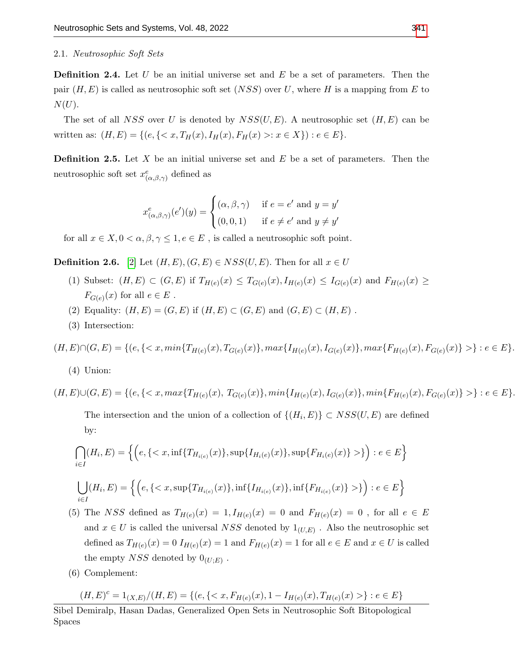#### 2.1. Neutrosophic Soft Sets

**Definition 2.4.** Let U be an initial universe set and E be a set of parameters. Then the pair  $(H, E)$  is called as neutrosophic soft set  $(NSS)$  over U, where H is a mapping from E to  $N(U).$ 

The set of all NSS over U is denoted by  $NSS(U, E)$ . A neutrosophic set  $(H, E)$  can be written as:  $(H, E) = \{(e, \{: x \in X\}) : e \in E\}.$ 

**Definition 2.5.** Let  $X$  be an initial universe set and  $E$  be a set of parameters. Then the neutrosophic soft set  $x^e_{(\alpha,\beta,\gamma)}$  defined as

$$
x^e_{(\alpha,\beta,\gamma)}(e')(y) = \begin{cases} (\alpha,\beta,\gamma) & \text{if } e = e' \text{ and } y = y' \\ (0,0,1) & \text{if } e \neq e' \text{ and } y \neq y' \end{cases}
$$

for all  $x \in X, 0 < \alpha, \beta, \gamma \leq 1, e \in E$ , is called a neutrosophic soft point.

**Definition 2.6.** [\[2\]](#page-16-7) Let  $(H, E), (G, E) \in NSS(U, E)$ . Then for all  $x \in U$ 

- (1) Subset:  $(H, E) \subset (G, E)$  if  $T_{H(e)}(x) \leq T_{G(e)}(x), I_{H(e)}(x) \leq I_{G(e)}(x)$  and  $F_{H(e)}(x) \geq$  $F_{G(e)}(x)$  for all  $e \in E$ .
- (2) Equality:  $(H, E) = (G, E)$  if  $(H, E) \subset (G, E)$  and  $(G, E) \subset (H, E)$ .
- (3) Intersection:

 $(H, E) \cap (G, E) = \{ (e, \{) \} : e \in E \}.$ 

(4) Union:

 $(H, E) \cup (G, E) = \{ (e, \{) \} : e \in E \}.$ 

The intersection and the union of a collection of  $\{(H_i, E)\}\subset NSS(U, E)$  are defined by:

$$
\bigcap_{i \in I} (H_i, E) = \left\{ \left( e, \{ < x, \inf \{ T_{H_{i(e)}}(x) \}, \sup \{ I_{H_i(e)}(x) \}, \sup \{ F_{H_i(e)}(x) \} > \} \right) : e \in E \right\}
$$

$$
\bigcup_{i \in I} (H_i, E) = \left\{ \left( e, \{ < x, \sup\{ T_{H_{i(e)}}(x)\}, \inf\{ I_{H_{i(e)}}(x)\}, \inf\{ F_{H_{i(e)}}(x)\} > \} \right) : e \in E \right\}
$$

(5) The NSS defined as  $T_{H(e)}(x) = 1, I_{H(e)}(x) = 0$  and  $F_{H(e)}(x) = 0$ , for all  $e \in E$ and  $x \in U$  is called the universal  $NSS$  denoted by  $1_{(U,E)}$ . Also the neutrosophic set defined as  $T_{H(e)}(x) = 0$   $I_{H(e)}(x) = 1$  and  $F_{H(e)}(x) = 1$  for all  $e \in E$  and  $x \in U$  is called the empty  $NSS$  denoted by  $0_{(U;E)}$ .

(6) Complement:

$$
(H,E)^c=1_{(X,E)}/(H,E)=\{(e,\{\}:e\in E\}
$$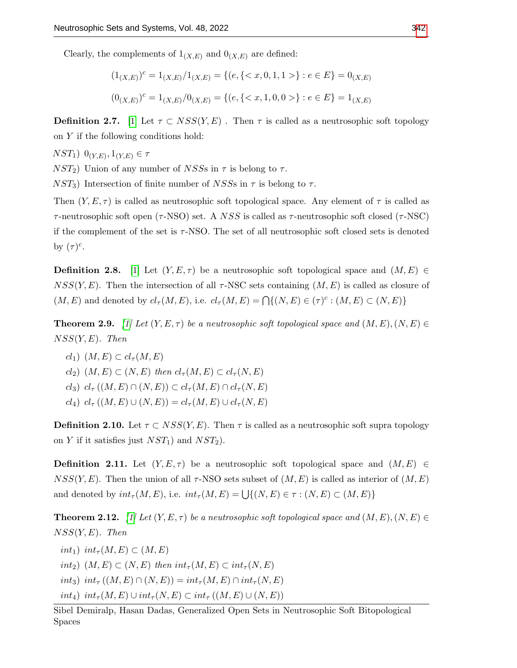Clearly, the complements of  $1_{(X,E)}$  and  $0_{(X,E)}$  are defined:

$$
(1_{(X,E)})^c = 1_{(X,E)}/1_{(X,E)} = \{(e, \{< x, 0, 1, 1 > \} : e \in E\} = 0_{(X,E)}
$$

$$
(0_{(X,E)})^c = 1_{(X,E)}/0_{(X,E)} = \{(e, \{< x, 1, 0, 0 > \} : e \in E\} = 1_{(X,E)}
$$

**Definition 2.7.** [\[1\]](#page-16-9) Let  $\tau \subset \text{NSS}(Y, E)$ . Then  $\tau$  is called as a neutrosophic soft topology on Y if the following conditions hold:

 $NST_1)$   $0_{(Y,E)}, 1_{(Y,E)} \in \tau$ 

 $NST_2$ ) Union of any number of NSSs in  $\tau$  is belong to  $\tau$ .

 $NST_3$ ) Intersection of finite number of NSSs in  $\tau$  is belong to  $\tau$ .

Then  $(Y, E, \tau)$  is called as neutrosophic soft topological space. Any element of  $\tau$  is called as  $τ$ -neutrosophic soft open ( $τ$ -NSO) set. A NSS is called as  $τ$ -neutrosophic soft closed ( $τ$ -NSC) if the complement of the set is  $\tau$ -NSO. The set of all neutrosophic soft closed sets is denoted by  $(\tau)^c$ .

**Definition 2.8.** [\[1\]](#page-16-9) Let  $(Y, E, \tau)$  be a neutrosophic soft topological space and  $(M, E) \in$  $NSS(Y, E)$ . Then the intersection of all  $\tau$ -NSC sets containing  $(M, E)$  is called as closure of  $(M, E)$  and denoted by  $cl_{\tau}(M, E)$ , i.e.  $cl_{\tau}(M, E) = \bigcap \{(N, E) \in (\tau)^c : (M, E) \subset (N, E)\}\$ 

**Theorem 2.9.** [\[1\]](#page-16-9) Let  $(Y, E, \tau)$  be a neutrosophic soft topological space and  $(M, E), (N, E) \in$  $NSS(Y, E)$ . Then

- $cl_1)$   $(M, E) \subset cl_{\tau}(M, E)$
- $cl_2)$   $(M, E) \subset (N, E)$  then  $cl_{\tau}(M, E) \subset cl_{\tau}(N, E)$
- $cl_3)$   $cl_{\tau}((M, E) \cap (N, E)) \subset cl_{\tau}(M, E) \cap cl_{\tau}(N, E)$
- cl<sub>4</sub>)  $cl_{\tau}((M, E) \cup (N, E)) = cl_{\tau}(M, E) \cup cl_{\tau}(N, E)$

**Definition 2.10.** Let  $\tau \subset NSS(Y, E)$ . Then  $\tau$  is called as a neutrosophic soft supra topology on Y if it satisfies just  $NST_1$  and  $NST_2$ .

**Definition 2.11.** Let  $(Y, E, \tau)$  be a neutrosophic soft topological space and  $(M, E) \in$  $NSS(Y, E)$ . Then the union of all  $\tau$ -NSO sets subset of  $(M, E)$  is called as interior of  $(M, E)$ and denoted by  $int_{\tau}(M, E)$ , i.e.  $int_{\tau}(M, E) = \bigcup \{(N, E) \in \tau : (N, E) \subset (M, E)\}\$ 

**Theorem 2.12.** [\[1\]](#page-16-9) Let  $(Y, E, \tau)$  be a neutrosophic soft topological space and  $(M, E), (N, E) \in$  $NSS(Y, E)$ . Then

- int<sub>1</sub>) int<sub>τ</sub> $(M, E) \subset (M, E)$
- int<sub>2</sub>)  $(M, E) \subset (N, E)$  then  $int_{\tau} (M, E) \subset int_{\tau} (N, E)$
- int<sub>3</sub>) int<sub>τ</sub>  $((M, E) \cap (N, E)) = int_{\tau}(M, E) \cap int_{\tau}(N, E)$
- int<sub>4</sub>) int<sub> $\tau(M, E) \cup int_{\tau}(N, E) \subset int_{\tau}((M, E) \cup (N, E))$ </sub>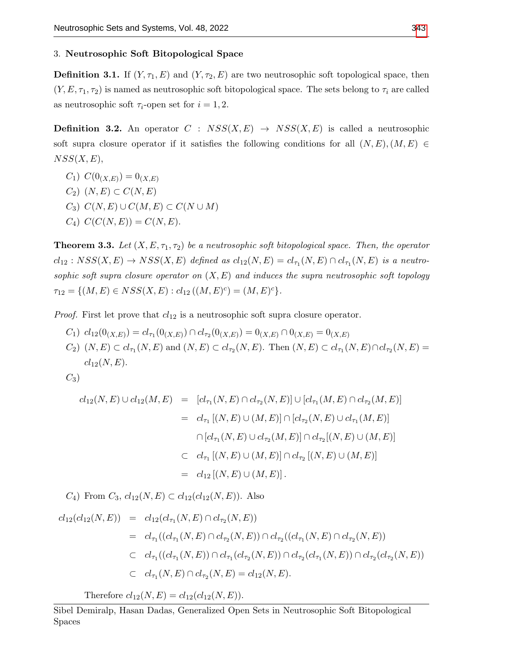#### 3. Neutrosophic Soft Bitopological Space

**Definition 3.1.** If  $(Y, \tau_1, E)$  and  $(Y, \tau_2, E)$  are two neutrosophic soft topological space, then  $(Y, E, \tau_1, \tau_2)$  is named as neutrosophic soft bitopological space. The sets belong to  $\tau_i$  are called as neutrosophic soft  $\tau_i$ -open set for  $i = 1, 2$ .

**Definition 3.2.** An operator  $C : NSS(X, E) \rightarrow NSS(X, E)$  is called a neutrosophic soft supra closure operator if it satisfies the following conditions for all  $(N, E), (M, E) \in$  $NSS(X, E),$ 

 $C_1) \ C(0_{(X,E)}) = 0_{(X,E)}$  $C_2$ )  $(N, E) \subset C(N, E)$  $C_3)$   $C(N, E) \cup C(M, E) \subset C(N \cup M)$  $C_4) \ C(C(N, E)) = C(N, E).$ 

**Theorem 3.3.** Let  $(X, E, \tau_1, \tau_2)$  be a neutrosophic soft bitopological space. Then, the operator  $cl_{12}: NSS(X, E) \rightarrow NSS(X, E)$  defined as  $cl_{12}(N, E) = cl_{\tau_1}(N, E) \cap cl_{\tau_1}(N, E)$  is a neutrosophic soft supra closure operator on  $(X, E)$  and induces the supra neutrosophic soft topology  $\tau_{12} = \{ (M, E) \in NSSS(X, E) : cl_{12} ((M, E)^c) = (M, E)^c \}.$ 

*Proof.* First let prove that  $cl_{12}$  is a neutrosophic soft supra closure operator.

- $C_1)$   $cl_{12}(0_{(X,E)}) = cl_{\tau_1}(0_{(X,E)}) \cap cl_{\tau_2}(0_{(X,E)}) = 0_{(X,E)} \cap 0_{(X,E)} = 0_{(X,E)}$
- $C_2$ )  $(N, E) \subset cl_{\tau_1}(N, E)$  and  $(N, E) \subset cl_{\tau_2}(N, E)$ . Then  $(N, E) \subset cl_{\tau_1}(N, E) \cap cl_{\tau_2}(N, E)$  =  $cl_{12}(N, E).$

 $C_3$ 

$$
cl_{12}(N, E) \cup cl_{12}(M, E) = [cl_{\tau_1}(N, E) \cap cl_{\tau_2}(N, E)] \cup [cl_{\tau_1}(M, E) \cap cl_{\tau_2}(M, E)]
$$
  
\n
$$
= cl_{\tau_1} [(N, E) \cup (M, E)] \cap [cl_{\tau_2}(N, E) \cup cl_{\tau_1}(M, E)]
$$
  
\n
$$
\cap [cl_{\tau_1}(N, E) \cup cl_{\tau_2}(M, E)] \cap cl_{\tau_2} [(N, E) \cup (M, E)]
$$
  
\n
$$
\subset cl_{\tau_1} [(N, E) \cup (M, E)] \cap cl_{\tau_2} [(N, E) \cup (M, E)]
$$
  
\n
$$
= cl_{12} [(N, E) \cup (M, E)].
$$

 $C_4$ ) From  $C_3$ ,  $cl_{12}(N, E) \subset cl_{12}(cl_{12}(N, E))$ . Also

$$
cl_{12}(cl_{12}(N, E)) = cl_{12}(cl_{\tau_1}(N, E) \cap cl_{\tau_2}(N, E))
$$
  
\n
$$
= cl_{\tau_1}((cl_{\tau_1}(N, E) \cap cl_{\tau_2}(N, E)) \cap cl_{\tau_2}((cl_{\tau_1}(N, E) \cap cl_{\tau_2}(N, E))
$$
  
\n
$$
\subset cl_{\tau_1}((cl_{\tau_1}(N, E) \cap cl_{\tau_1}(cl_{\tau_2}(N, E)) \cap cl_{\tau_2}(cl_{\tau_1}(N, E)) \cap cl_{\tau_2}(cl_{\tau_2}(N, E))
$$
  
\n
$$
\subset cl_{\tau_1}(N, E) \cap cl_{\tau_2}(N, E) = cl_{12}(N, E).
$$

Therefore  $cl_{12}(N, E) = cl_{12}(cl_{12}(N, E)).$ 

Sibel Demiralp, Hasan Dadas, Generalized Open Sets in Neutrosophic Soft Bitopological Spaces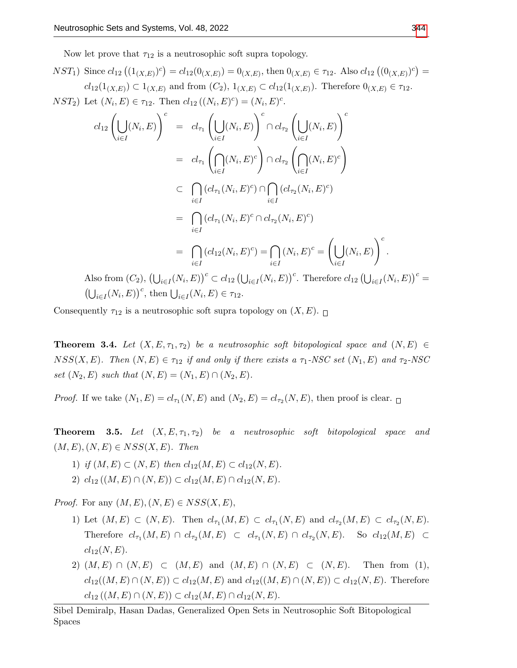Now let prove that  $\tau_{12}$  is a neutrosophic soft supra topology.

$$
NST_1) \text{ Since } cl_{12}((1_{(X,E)})^c) = cl_{12}(0_{(X,E)}) = 0_{(X,E)}, \text{ then } 0_{(X,E)} \in \tau_{12}. \text{ Also } cl_{12}((0_{(X,E)})^c) = cl_{12}(1_{(X,E)}) \subset 1_{(X,E)} \text{ and from } (C_2), 1_{(X,E)} \subset cl_{12}(1_{(X,E)}). \text{ Therefore } 0_{(X,E)} \in \tau_{12}. \text{ } NST_2) \text{ Let } (N_i, E) \in \tau_{12}. \text{ Then } cl_{12}((N_i, E)^c) = (N_i, E)^c.
$$

$$
cl_{12}\left(\bigcup_{i\in I}(N_i, E)\right)^c = cl_{\tau_1}\left(\bigcup_{i\in I}(N_i, E)\right)^c \cap cl_{\tau_2}\left(\bigcup_{i\in I}(N_i, E)\right)^c
$$
  
\n
$$
= cl_{\tau_1}\left(\bigcap_{i\in I}(N_i, E)^c\right) \cap cl_{\tau_2}\left(\bigcap_{i\in I}(N_i, E)^c\right)
$$
  
\n
$$
\subseteq \bigcap_{i\in I}(cl_{\tau_1}(N_i, E)^c) \cap \bigcap_{i\in I}(cl_{\tau_2}(N_i, E)^c)
$$
  
\n
$$
= \bigcap_{i\in I}(cl_{\tau_1}(N_i, E)^c \cap cl_{\tau_2}(N_i, E)^c)
$$
  
\n
$$
= \bigcap_{i\in I}(cl_{12}(N_i, E)^c) = \bigcap_{i\in I}(N_i, E)^c = \left(\bigcup_{i\in I}(N_i, E)\right)^c.
$$
  
\nAlso from  $(C_2)$ ,  $(\bigcup_{i\in I}(N_i, E))^c \subset cl_{12}(\bigcup_{i\in I}(N_i, E))^c$ . Therefore  $cl_{12}(\bigcup_{i\in I}(N_i, E))^c = (\bigcup_{i\in I}(N_i, E))^c$ , then  $\bigcup_{i\in I}(N_i, E) \in \tau_{12}$ .

Consequently  $\tau_{12}$  is a neutrosophic soft supra topology on  $(X, E)$ .

**Theorem 3.4.** Let  $(X, E, \tau_1, \tau_2)$  be a neutrosophic soft bitopological space and  $(N, E) \in$  $NSS(X, E)$ . Then  $(N, E) \in \tau_{12}$  if and only if there exists a  $\tau_1$ -NSC set  $(N_1, E)$  and  $\tau_2$ -NSC set  $(N_2, E)$  such that  $(N, E) = (N_1, E) \cap (N_2, E)$ .

*Proof.* If we take  $(N_1, E) = cl_{\tau_1}(N, E)$  and  $(N_2, E) = cl_{\tau_2}(N, E)$ , then proof is clear.

**Theorem 3.5.** Let  $(X, E, \tau_1, \tau_2)$  be a neutrosophic soft bitopological space and  $(M, E), (N, E) \in NSS(X, E)$ . Then

- 1) if  $(M, E) \subset (N, E)$  then  $cl_{12}(M, E) \subset cl_{12}(N, E)$ .
- 2)  $cl_{12}((M, E) \cap (N, E)) \subset cl_{12}(M, E) \cap cl_{12}(N, E).$

*Proof.* For any  $(M, E), (N, E) \in NSS(X, E),$ 

- 1) Let  $(M, E) \subset (N, E)$ . Then  $cl_{\tau_1}(M, E) \subset cl_{\tau_1}(N, E)$  and  $cl_{\tau_2}(M, E) \subset cl_{\tau_2}(N, E)$ . Therefore  $cl_{\tau_1}(M, E) \cap cl_{\tau_2}(M, E) \subset cl_{\tau_1}(N, E) \cap cl_{\tau_2}(N, E)$ . So  $cl_{12}(M, E) \subset$  $cl_{12}(N, E).$
- 2)  $(M, E) \cap (N, E) \subset (M, E)$  and  $(M, E) \cap (N, E) \subset (N, E)$ . Then from (1),  $cl_{12}((M, E) \cap (N, E)) \subset cl_{12}(M, E)$  and  $cl_{12}((M, E) \cap (N, E)) \subset cl_{12}(N, E)$ . Therefore  $cl_{12} ((M, E) \cap (N, E)) \subset cl_{12}(M, E) \cap cl_{12}(N, E).$

Sibel Demiralp, Hasan Dadas, Generalized Open Sets in Neutrosophic Soft Bitopological Spaces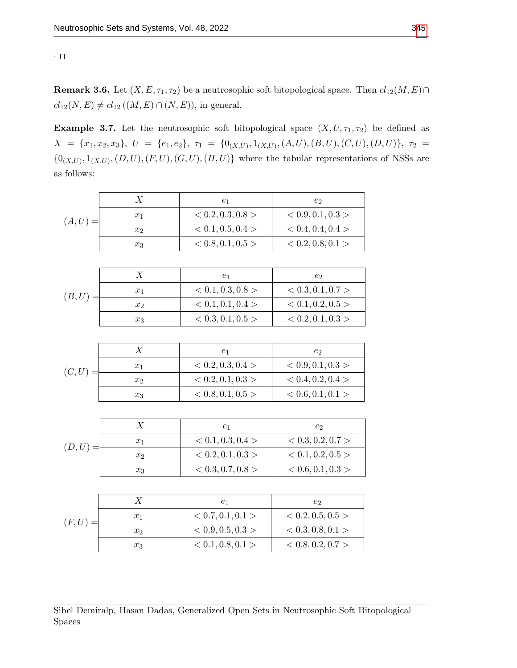**Remark 3.6.** Let  $(X, E, \tau_1, \tau_2)$  be a neutrosophic soft bitopological space. Then  $cl_{12}(M, E) \cap$  $cl_{12}(N, E) \neq cl_{12} ((M, E) \cap (N, E)),$  in general.

**Example 3.7.** Let the neutrosophic soft bitopological space  $(X, U, \tau_1, \tau_2)$  be defined as  $X \;=\; \{x_1,x_2,x_3\},\; \, U \;=\; \{e_1,e_2\},\; \, \tau_1 \;=\; \{0_{(X,U)},1_{(X,U)},(A,U),(B,U),(C,U),(D,U)\},\; \, \tau_2 \;=\; \tau_1$  $\{0_{(X,U)}, 1_{(X,U)}, (D, U), (F, U), (G, U), (H, U)\}\$  where the tabular representations of NSSs are as follows:

|        | X                | $e_1$             | e <sub>2</sub>    |
|--------|------------------|-------------------|-------------------|
| (A,U)  | $x_1$            | < 0.2, 0.3, 0.8 > | < 0.9, 0.1, 0.3 > |
|        | $x_2$            | < 0.1, 0.5, 0.4 > | < 0.4, 0.4, 0.4 > |
|        | $x_3$            | < 0.8, 0.1, 0.5 > | < 0.2, 0.8, 0.1 > |
|        |                  |                   |                   |
|        | X                | $e_1$             | e <sub>2</sub>    |
|        | $x_1$            | < 0.1, 0.3, 0.8 > | < 0.3, 0.1, 0.7 > |
| (B,U)  | x <sub>2</sub>   | < 0.1, 0.1, 0.4 > | < 0.1, 0.2, 0.5 > |
|        | $x_3$            | < 0.3, 0.1, 0.5 > | < 0.2, 0.1, 0.3 > |
|        |                  |                   |                   |
|        | X                | $e_1$             | $e_2$             |
| (C, U) | $x_1$            | < 0.2, 0.3, 0.4 > | < 0.9, 0.1, 0.3 > |
|        | $x_2$            | < 0.2, 0.1, 0.3 > | < 0.4, 0.2, 0.4 > |
|        | $x_3$            | < 0.8, 0.1, 0.5 > | < 0.6, 0.1, 0.1 > |
|        |                  |                   |                   |
|        | X                | $e_1$             | e <sub>2</sub>    |
|        | $x_1$            | < 0.1, 0.3, 0.4 > | < 0.3, 0.2, 0.7 > |
| (D,U)  | $x_2$            | < 0.2, 0.1, 0.3 > | < 0.1, 0.2, 0.5 > |
|        | $x_3$            | < 0.3, 0.7, 0.8 > | < 0.6, 0.1, 0.3 > |
|        |                  |                   |                   |
|        | $\boldsymbol{X}$ | $e_1$             | $e_2$             |
|        | $x_1$            | < 0.7, 0.1, 0.1 > | < 0.2, 0.5, 0.5 > |
| (F, U) |                  |                   |                   |

 $x_2$   $< 0.9, 0.5, 0.3 >$   $< 0.3, 0.8, 0.1 >$  $x_3$   $< 0.1, 0.8, 0.1 >$   $< 0.8, 0.2, 0.7 >$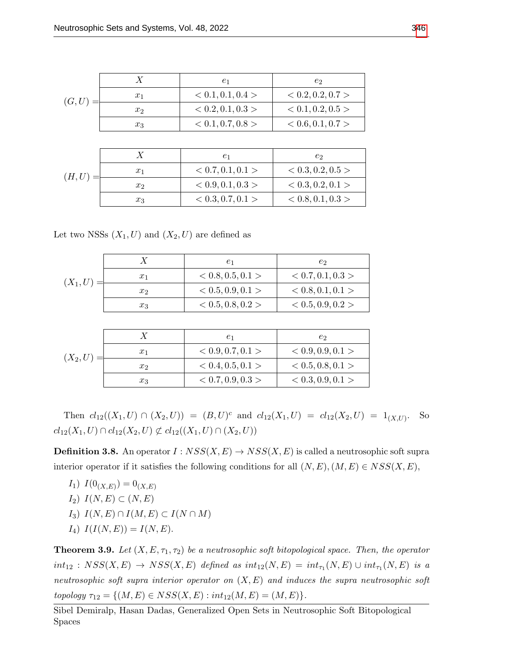| (G, U) |       | $e_1$             | $e_2$             |
|--------|-------|-------------------|-------------------|
|        | $x_1$ | < 0.1, 0.1, 0.4 > | < 0.2, 0.2, 0.7 > |
|        | $x_2$ | < 0.2, 0.1, 0.3 > | < 0.1, 0.2, 0.5 > |
|        | $x_3$ | < 0.1, 0.7, 0.8 > | < 0.6, 0.1, 0.7 > |

| (H,U) |       | $_{e_1}$          | e2                |
|-------|-------|-------------------|-------------------|
|       | $x_1$ | < 0.7, 0.1, 0.1 > | < 0.3, 0.2, 0.5 > |
|       | $x_2$ | < 0.9, 0.1, 0.3 > | < 0.3, 0.2, 0.1 > |
|       | $x_3$ | < 0.3, 0.7, 0.1 > | < 0.8, 0.1, 0.3 > |

Let two NSSs  $(X_1, U)$  and  $(X_2, U)$  are defined as

| $(X_1,U)$ . |                | $_{e_1}$          | e2                |
|-------------|----------------|-------------------|-------------------|
|             | $x_1$          | < 0.8, 0.5, 0.1 > | < 0.7, 0.1, 0.3 > |
|             | x <sub>2</sub> | < 0.5, 0.9, 0.1 > | < 0.8, 0.1, 0.1 > |
|             | $x_3$          | < 0.5, 0.8, 0.2 > | < 0.5, 0.9, 0.2 > |

| $(X_2, U)$ |       | $_{e_1}$          | e2                |
|------------|-------|-------------------|-------------------|
|            | $x_1$ | < 0.9, 0.7, 0.1 > | < 0.9, 0.9, 0.1 > |
|            | $x_2$ | < 0.4, 0.5, 0.1 > | < 0.5, 0.8, 0.1 > |
|            | $x_3$ | < 0.7, 0.9, 0.3 > | < 0.3, 0.9, 0.1 > |

Then  $cl_{12}((X_1, U) \cap (X_2, U)) = (B, U)^c$  and  $cl_{12}(X_1, U) = cl_{12}(X_2, U) = 1_{(X,U)}$ . So  $cl_{12}(X_1, U) \cap cl_{12}(X_2, U) \not\subset cl_{12}((X_1, U) \cap (X_2, U))$ 

**Definition 3.8.** An operator  $I: NSS(X, E) \to NSS(X, E)$  is called a neutrosophic soft supra interior operator if it satisfies the following conditions for all  $(N, E), (M, E) \in NSS(X, E)$ ,

 $I_1)$   $I(0_{(X,E)}) = 0_{(X,E)}$  $I_2)$   $I(N, E) \subset (N, E)$ I<sub>3</sub>)  $I(N, E) \cap I(M, E) \subset I(N \cap M)$  $I_4)$   $I(I(N, E)) = I(N, E).$ 

**Theorem 3.9.** Let  $(X, E, \tau_1, \tau_2)$  be a neutrosophic soft bitopological space. Then, the operator  $int_{12} : NSS(X, E) \rightarrow NSS(X, E)$  defined as  $int_{12}(N, E) = int_{\tau_1}(N, E) \cup int_{\tau_1}(N, E)$  is a neutrosophic soft supra interior operator on  $(X, E)$  and induces the supra neutrosophic soft topology  $\tau_{12} = \{(M, E) \in NSS(X, E) : int_{12}(M, E) = (M, E)\}.$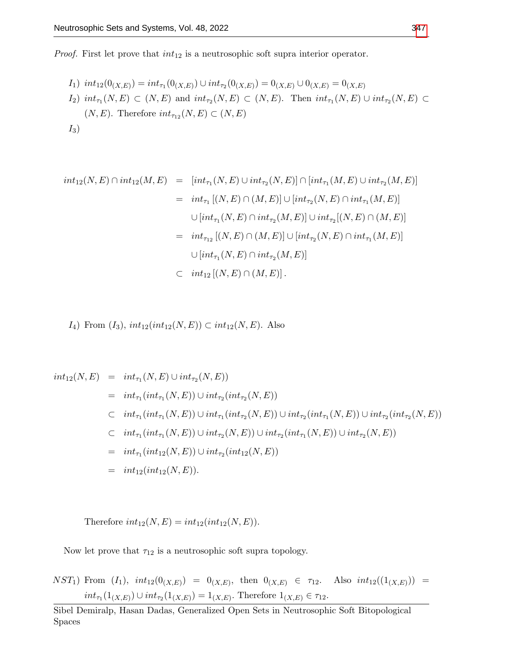*Proof.* First let prove that  $int_{12}$  is a neutrosophic soft supra interior operator.

$$
I_1) int_{12}(0_{(X,E)}) = int_{\tau_1}(0_{(X,E)}) \cup int_{\tau_2}(0_{(X,E)}) = 0_{(X,E)} \cup 0_{(X,E)} = 0_{(X,E)}
$$
  
\n
$$
I_2) int_{\tau_1}(N, E) \subset (N, E) \text{ and } int_{\tau_2}(N, E) \subset (N, E). \text{ Then } int_{\tau_1}(N, E) \cup int_{\tau_2}(N, E) \subset
$$
  
\n
$$
(N, E). \text{ Therefore } int_{\tau_{12}}(N, E) \subset (N, E)
$$
  
\n
$$
I_3)
$$

$$
int_{12}(N, E) \cap int_{12}(M, E) = [int_{\tau_1}(N, E) \cup int_{\tau_2}(N, E)] \cap [int_{\tau_1}(M, E) \cup int_{\tau_2}(M, E)]
$$
  
\n
$$
= int_{\tau_1} [(N, E) \cap (M, E)] \cup [int_{\tau_2}(N, E) \cap int_{\tau_1}(M, E)]
$$
  
\n
$$
\cup [int_{\tau_1}(N, E) \cap int_{\tau_2}(M, E)] \cup int_{\tau_2} [(N, E) \cap (M, E)]
$$
  
\n
$$
= int_{\tau_{12}} [(N, E) \cap (M, E)] \cup [int_{\tau_2}(N, E) \cap int_{\tau_1}(M, E)]
$$
  
\n
$$
\cup [int_{\tau_1}(N, E) \cap int_{\tau_2}(M, E)].
$$
  
\n
$$
int_{12} [(N, E) \cap (M, E)].
$$

$$
I_4
$$
) From  $(I_3)$ ,  $int_{12}(int_{12}(N, E)) \subset int_{12}(N, E)$ . Also

$$
int_{12}(N, E) = int_{\tau_1}(N, E) \cup int_{\tau_2}(N, E))
$$
  
\n
$$
= int_{\tau_1}(int_{\tau_1}(N, E)) \cup int_{\tau_2}(int_{\tau_2}(N, E))
$$
  
\n
$$
\subset int_{\tau_1}(int_{\tau_1}(N, E)) \cup int_{\tau_1}(int_{\tau_2}(N, E)) \cup int_{\tau_2}(int_{\tau_1}(N, E)) \cup int_{\tau_2}(int_{\tau_1}(N, E))
$$
  
\n
$$
\subset int_{\tau_1}(int_{\tau_1}(N, E)) \cup int_{\tau_2}(N, E)) \cup int_{\tau_2}(int_{\tau_1}(N, E)) \cup int_{\tau_2}(N, E))
$$
  
\n
$$
= int_{\tau_1}(int_{12}(N, E)) \cup int_{\tau_2}(int_{12}(N, E))
$$
  
\n
$$
= int_{12}(int_{12}(N, E)).
$$

Therefore  $int_{12}(N, E) = int_{12}(int_{12}(N, E)).$ 

Now let prove that  $\tau_{12}$  is a neutrosophic soft supra topology.

 $NST_1$ ) From  $(I_1)$ ,  $int_{12}(0_{(X,E)}) = 0_{(X,E)}$ , then  $0_{(X,E)} \in \tau_{12}$ . Also  $int_{12}((1_{(X,E)})) =$  $int_{\tau_1}(1_{(X,E)}) \cup int_{\tau_2}(1_{(X,E)}) = 1_{(X,E)}$ . Therefore  $1_{(X,E)} \in \tau_1$ .

Sibel Demiralp, Hasan Dadas, Generalized Open Sets in Neutrosophic Soft Bitopological Spaces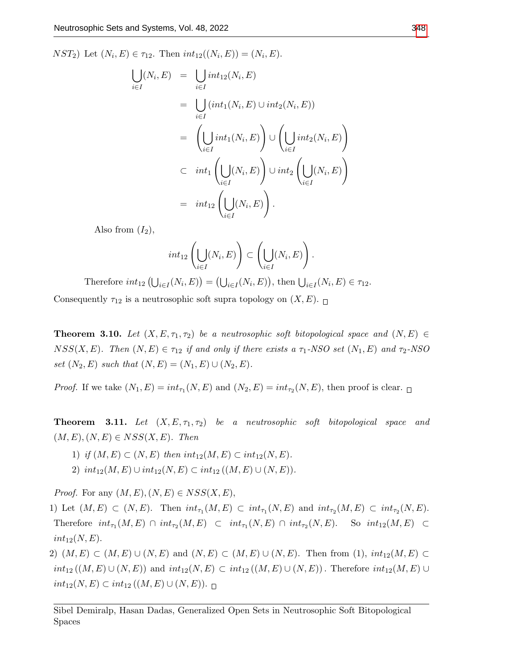$NST_2$ ) Let  $(N_i, E) \in \tau_{12}$ . Then  $int_{12}((N_i, E)) = (N_i, E)$ .

$$
\bigcup_{i \in I} (N_i, E) = \bigcup_{i \in I} int_{12}(N_i, E)
$$
\n
$$
= \bigcup_{i \in I} (int_1(N_i, E) \cup int_2(N_i, E))
$$
\n
$$
= \left( \bigcup_{i \in I} int_1(N_i, E) \right) \cup \left( \bigcup_{i \in I} int_2(N_i, E) \right)
$$
\n
$$
\subset int_1 \left( \bigcup_{i \in I} (N_i, E) \right) \cup int_2 \left( \bigcup_{i \in I} (N_i, E) \right)
$$
\n
$$
= int_{12} \left( \bigcup_{i \in I} (N_i, E) \right).
$$

Also from  $(I_2)$ ,

$$
int_{12}\left(\bigcup_{i\in I}(N_i,E)\right)\subset \left(\bigcup_{i\in I}(N_i,E)\right).
$$

Therefore  $int_{12} (U_{i \in I}(N_i, E)) = (U_{i \in I}(N_i, E)),$  then  $U_{i \in I}(N_i, E) \in \tau_{12}$ .

Consequently  $\tau_{12}$  is a neutrosophic soft supra topology on  $(X, E)$ .

**Theorem 3.10.** Let  $(X, E, \tau_1, \tau_2)$  be a neutrosophic soft bitopological space and  $(N, E) \in$  $NSS(X, E)$ . Then  $(N, E) \in \tau_{12}$  if and only if there exists a  $\tau_1$ -NSO set  $(N_1, E)$  and  $\tau_2$ -NSO set  $(N_2, E)$  such that  $(N, E) = (N_1, E) \cup (N_2, E)$ .

*Proof.* If we take  $(N_1, E) = int_{\tau_1}(N, E)$  and  $(N_2, E) = int_{\tau_2}(N, E)$ , then proof is clear.

**Theorem 3.11.** Let  $(X, E, \tau_1, \tau_2)$  be a neutrosophic soft bitopological space and  $(M, E), (N, E) \in NSS(X, E)$ . Then

- 1) if  $(M, E) \subset (N, E)$  then  $int_{12}(M, E) \subset int_{12}(N, E)$ .
- 2)  $int_{12}(M, E) \cup int_{12}(N, E) \subset int_{12}((M, E) \cup (N, E)).$

*Proof.* For any  $(M, E), (N, E) \in NSS(X, E),$ 

1) Let  $(M, E) \subset (N, E)$ . Then  $int_{\tau_1}(M, E) \subset int_{\tau_1}(N, E)$  and  $int_{\tau_2}(M, E) \subset int_{\tau_2}(N, E)$ . Therefore  $int_{\tau_1}(M, E) \cap int_{\tau_2}(M, E) \subset int_{\tau_1}(N, E) \cap int_{\tau_2}(N, E)$ . So  $int_{12}(M, E) \subset$  $int_{12}(N,E).$ 

2)  $(M, E) \subset (M, E) \cup (N, E)$  and  $(N, E) \subset (M, E) \cup (N, E)$ . Then from  $(1), int_{12}(M, E) \subset$  $int_{12} ((M, E) \cup (N, E))$  and  $int_{12}(N, E) \subset int_{12} ((M, E) \cup (N, E))$ . Therefore  $int_{12}(M, E) \cup$  $int_{12}(N, E) \subset int_{12} ((M, E) \cup (N, E))$ . □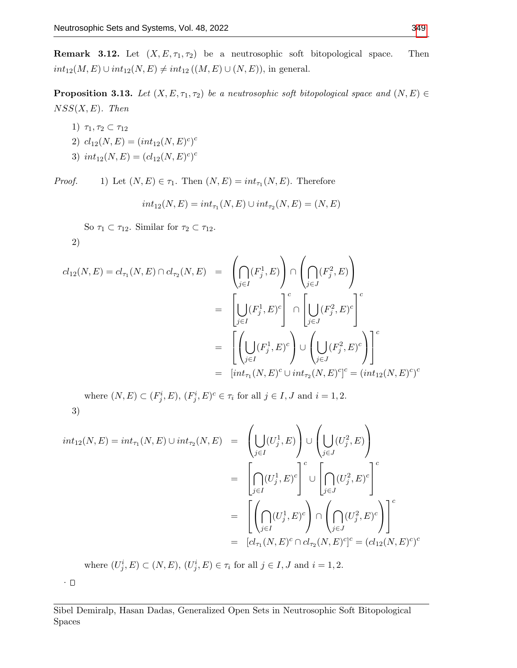**Remark 3.12.** Let  $(X, E, \tau_1, \tau_2)$  be a neutrosophic soft bitopological space. Then  $int_{12}(M, E) \cup int_{12}(N, E) \neq int_{12} ((M, E) \cup (N, E)),$  in general.

**Proposition 3.13.** Let  $(X, E, \tau_1, \tau_2)$  be a neutrosophic soft bitopological space and  $(N, E) \in$  $NSS(X, E)$ . Then

- 1)  $\tau_1, \tau_2 \subset \tau_{12}$
- 2)  $cl_{12}(N, E) = (int_{12}(N, E)^c)^c$
- 3)  $int_{12}(N,E) = (cl_{12}(N,E)^c)^c$

*Proof.* 1) Let  $(N, E) \in \tau_1$ . Then  $(N, E) = int_{\tau_1}(N, E)$ . Therefore

$$
int_{12}(N, E) = int_{\tau_1}(N, E) \cup int_{\tau_2}(N, E) = (N, E)
$$

So  $\tau_1 \subset \tau_{12}$ . Similar for  $\tau_2 \subset \tau_{12}$ .

$$
2)
$$

$$
cl_{12}(N,E) = cl_{\tau_1}(N,E) \cap cl_{\tau_2}(N,E) = \left(\bigcap_{j\in I} (F_j^1,E)\right) \cap \left(\bigcap_{j\in J} (F_j^2,E)\right)
$$
  

$$
= \left[\bigcup_{j\in I} (F_j^1,E)^c\right]^c \cap \left[\bigcup_{j\in J} (F_j^2,E)^c\right]^c
$$
  

$$
= \left[\left(\bigcup_{j\in I} (F_j^1,E)^c\right) \cup \left(\bigcup_{j\in J} (F_j^2,E)^c\right)\right]^c
$$
  

$$
= [int_{\tau_1}(N,E)^c \cup int_{\tau_2}(N,E)^c]^c = (int_{12}(N,E)^c)^c
$$

where  $(N, E) \subset (F_j^i, E), (F_j^i, E)^c \in \tau_i$  for all  $j \in I, J$  and  $i = 1, 2$ . 3)

$$
int_{12}(N,E) = int_{\tau_1}(N,E) \cup int_{\tau_2}(N,E) = \left(\bigcup_{j\in I} (U_j^1,E)\right) \cup \left(\bigcup_{j\in J} (U_j^2,E)\right)
$$

$$
= \left[\bigcap_{j\in I} (U_j^1,E)^c\right]^c \cup \left[\bigcap_{j\in J} (U_j^2,E)^c\right]^c
$$

$$
= \left[\left(\bigcap_{j\in I} (U_j^1,E)^c\right) \cap \left(\bigcap_{j\in J} (U_j^2,E)^c\right)\right]^c
$$

$$
= [cl_{\tau_1}(N,E)^c \cap cl_{\tau_2}(N,E)^c]^c = (cl_{12}(N,E)^c)^c
$$

where  $(U_j^i, E) \subset (N, E), (U_j^i, E) \in \tau_i$  for all  $j \in I, J$  and  $i = 1, 2$ .

.  $\Box$ 

Sibel Demiralp, Hasan Dadas, Generalized Open Sets in Neutrosophic Soft Bitopological Spaces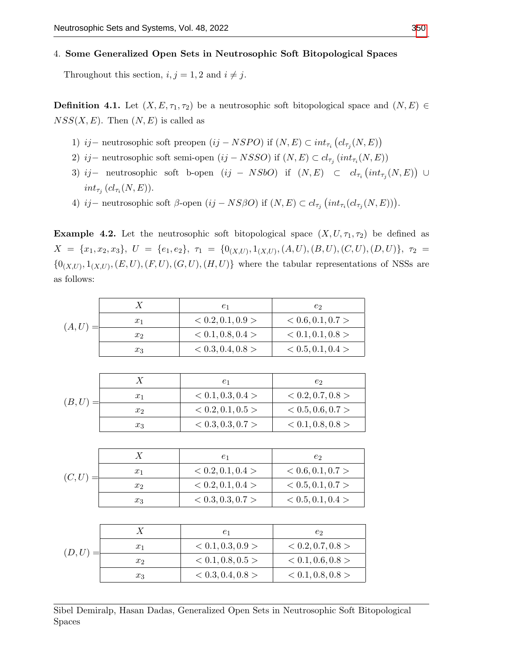## 4. Some Generalized Open Sets in Neutrosophic Soft Bitopological Spaces

Throughout this section,  $i, j = 1, 2$  and  $i \neq j$ .

**Definition 4.1.** Let  $(X, E, \tau_1, \tau_2)$  be a neutrosophic soft bitopological space and  $(N, E) \in$  $NSS(X, E)$ . Then  $(N, E)$  is called as

- 1) ij − neutrosophic soft preopen  $(ij NSPO)$  if  $(N, E) \subset int_{\tau_i} (cl_{\tau_j}(N, E))$
- 2) ij neutrosophic soft semi-open (ij NSSO) if  $(N, E) \subset cl_{\tau_j}(int_{\tau_i}(N, E))$
- 3) ij neutrosophic soft b-open  $(ij NSbO)$  if  $(N, E) \subset cl_{\tau_i}(int_{\tau_j}(N, E)) \cup$  $int_{\tau_j} (cl_{\tau_i}(N,E)).$
- 4) ij neutrosophic soft β-open  $(ij NS\beta O)$  if  $(N, E) \subset cl_{\tau_j} (int_{\tau_i} (cl_{\tau_j}(N, E)))$ .

**Example 4.2.** Let the neutrosophic soft bitopological space  $(X, U, \tau_1, \tau_2)$  be defined as  $X \;=\; \{x_1,x_2,x_3\},\; \, U \;=\; \{e_1,e_2\},\; \, \tau_1 \;=\; \{0_{(X,U)},1_{(X,U)},(A,U),(B,U),(C,U),(D,U)\},\; \, \tau_2 \;=\; \tau_1$  $\{0_{(X,U)}, 1_{(X,U)}, (E, U), (F, U), (G, U), (H, U)\}\$  where the tabular representations of NSSs are as follows:

|        | $\boldsymbol{X}$ | e <sub>1</sub>    | e <sub>2</sub>    |
|--------|------------------|-------------------|-------------------|
| (A, U) | $x_1$            | < 0.2, 0.1, 0.9 > | < 0.6, 0.1, 0.7 > |
|        | x <sub>2</sub>   | < 0.1, 0.8, 0.4 > | < 0.1, 0.1, 0.8 > |
|        | $x_3$            | < 0.3, 0.4, 0.8 > | < 0.5, 0.1, 0.4 > |
|        |                  |                   |                   |
| (B,U)  | $\boldsymbol{X}$ | e <sub>1</sub>    | e <sub>2</sub>    |
|        | $x_1$            | < 0.1, 0.3, 0.4 > | < 0.2, 0.7, 0.8 > |
|        | x <sub>2</sub>   | < 0.2, 0.1, 0.5 > | < 0.5, 0.6, 0.7 > |
|        | $x_3$            | < 0.3, 0.3, 0.7 > | < 0.1, 0.8, 0.8 > |
|        |                  |                   |                   |

| (C, U) |                | e1                | $e_2$             |
|--------|----------------|-------------------|-------------------|
|        | $x_1$          | < 0.2, 0.1, 0.4 > | < 0.6, 0.1, 0.7 > |
|        | x <sub>2</sub> | < 0.2, 0.1, 0.4 > | < 0.5, 0.1, 0.7 > |
|        | $x_3$          | < 0.3, 0.3, 0.7 > | < 0.5, 0.1, 0.4 > |

| (D,U) |       | $e_1$             | $e_2$             |
|-------|-------|-------------------|-------------------|
|       | $x_1$ | < 0.1, 0.3, 0.9 > | < 0.2, 0.7, 0.8 > |
|       | $x_2$ | < 0.1, 0.8, 0.5 > | < 0.1, 0.6, 0.8 > |
|       | $x_3$ | < 0.3, 0.4, 0.8 > | < 0.1, 0.8, 0.8 > |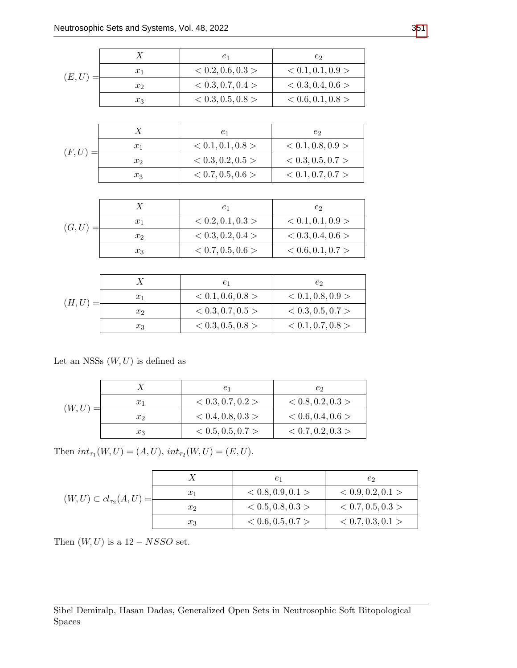| (E, U) |       | $\,e_1$           | $e_2$             |
|--------|-------|-------------------|-------------------|
|        | $x_1$ | < 0.2, 0.6, 0.3 > | < 0.1, 0.1, 0.9 > |
|        | $x_2$ | < 0.3, 0.7, 0.4 > | < 0.3, 0.4, 0.6 > |
|        | $x_3$ | < 0.3, 0.5, 0.8 > | < 0.6, 0.1, 0.8 > |

| (F, U) |       | $_{e_1}$          | e2                |
|--------|-------|-------------------|-------------------|
|        | $x_1$ | < 0.1, 0.1, 0.8 > | < 0.1, 0.8, 0.9 > |
|        | $x_2$ | < 0.3, 0.2, 0.5 > | < 0.3, 0.5, 0.7 > |
|        | $x_3$ | < 0.7, 0.5, 0.6 > | < 0.1, 0.7, 0.7 > |

| (G, U) |       | $_{e_1}$          | e2                |
|--------|-------|-------------------|-------------------|
|        | $x_1$ | < 0.2, 0.1, 0.3 > | < 0.1, 0.1, 0.9 > |
|        | $x_2$ | < 0.3, 0.2, 0.4 > | < 0.3, 0.4, 0.6 > |
|        | $x_3$ | < 0.7, 0.5, 0.6 > | < 0.6, 0.1, 0.7 > |

| (H, U) |       | $e_1$             | e2                |
|--------|-------|-------------------|-------------------|
|        | $x_1$ | < 0.1, 0.6, 0.8 > | < 0.1, 0.8, 0.9 > |
|        | $x_2$ | < 0.3, 0.7, 0.5 > | < 0.3, 0.5, 0.7 > |
|        | $x_3$ | < 0.3, 0.5, 0.8 > | < 0.1, 0.7, 0.8 > |

Let an NSSs  $(W, U)$  is defined as

|        |                | $_{e_1}$          | С9.               |
|--------|----------------|-------------------|-------------------|
| (W, U) | $x_1$          | < 0.3, 0.7, 0.2 > | < 0.8, 0.2, 0.3 > |
|        | x <sub>2</sub> | < 0.4, 0.8, 0.3 > | < 0.6, 0.4, 0.6 > |
|        | $x_3$          | < 0.5, 0.5, 0.7 > | < 0.7, 0.2, 0.3 > |

Then  $int_{\tau_1}(W, U) = (A, U), int_{\tau_2}(W, U) = (E, U).$ 

| $(W, U) \subset cl_{\tau_2}(A, U) =$ |       | $_{e_1}$          | С9                |
|--------------------------------------|-------|-------------------|-------------------|
|                                      | $x_1$ | < 0.8, 0.9, 0.1 > | < 0.9, 0.2, 0.1 > |
|                                      | $x_2$ | < 0.5, 0.8, 0.3 > | < 0.7, 0.5, 0.3 > |
|                                      | $x_3$ | < 0.6, 0.5, 0.7 > | < 0.7, 0.3, 0.1 > |

Then  $(W, U)$  is a 12 – NSSO set.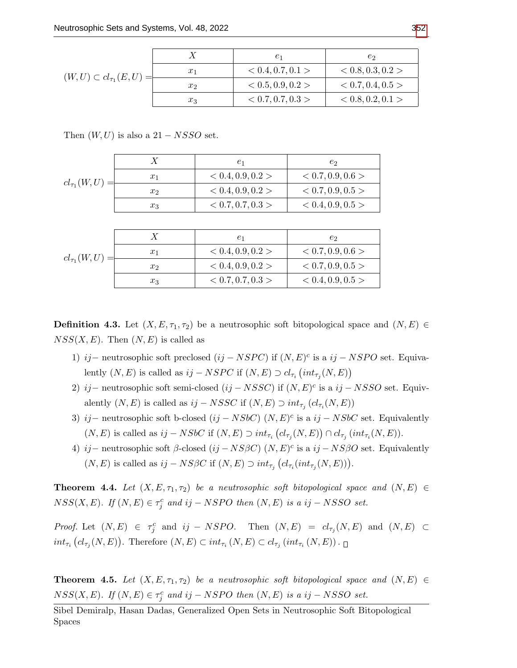|                                      |       | $e_1$             | e2                |
|--------------------------------------|-------|-------------------|-------------------|
| $(W, U) \subset cl_{\tau_1}(E, U) =$ | $x_1$ | < 0.4, 0.7, 0.1 > | < 0.8, 0.3, 0.2 > |
|                                      | $x_2$ | < 0.5, 0.9, 0.2 > | < 0.7, 0.4, 0.5 > |
|                                      | $x_3$ | < 0.7, 0.7, 0.3 > | < 0.8, 0.2, 0.1 > |

Then  $(W, U)$  is also a 21 – NSSO set.

|                    |       | $_{e_1}$          | e2                |
|--------------------|-------|-------------------|-------------------|
| $cl_{\tau_1}(W,U)$ | $x_1$ | < 0.4, 0.9, 0.2 > | < 0.7, 0.9, 0.6 > |
|                    | $x_2$ | < 0.4, 0.9, 0.2 > | < 0.7, 0.9, 0.5 > |
|                    | $x_3$ | < 0.7, 0.7, 0.3 > | < 0.4, 0.9, 0.5 > |

| $cl_{\tau_1}(W,U)$ |       | $_{e_1}$          | e2                |
|--------------------|-------|-------------------|-------------------|
|                    | $x_1$ | < 0.4, 0.9, 0.2 > | < 0.7, 0.9, 0.6 > |
|                    | $x_2$ | < 0.4, 0.9, 0.2 > | < 0.7, 0.9, 0.5 > |
|                    | $x_3$ | < 0.7, 0.7, 0.3 > | < 0.4, 0.9, 0.5 > |

**Definition 4.3.** Let  $(X, E, \tau_1, \tau_2)$  be a neutrosophic soft bitopological space and  $(N, E)$  $NSS(X, E)$ . Then  $(N, E)$  is called as

- 1) ij − neutrosophic soft preclosed  $(ij NSPC)$  if  $(N, E)^c$  is a  $ij NSPO$  set. Equivalently  $(N, E)$  is called as  $ij - NSPC$  if  $(N, E) \supset cl_{\tau_i} (int_{\tau_j}(N, E))$
- 2) ij neutrosophic soft semi-closed  $(ij NSSC)$  if  $(N, E)^c$  is a  $ij NSSO$  set. Equivalently  $(N, E)$  is called as  $ij - NSSC$  if  $(N, E) \supset int_{\tau_j} (cl_{\tau_i}(N, E))$
- 3) ij neutrosophic soft b-closed  $(ij NSbC)$   $(N, E)^c$  is a  $ij NSbC$  set. Equivalently  $(N, E)$  is called as  $ij - NSbC$  if  $(N, E) \supset int_{\tau_i} (cl_{\tau_j}(N, E)) \cap cl_{\tau_j} (int_{\tau_i}(N, E)).$
- 4) ij neutrosophic soft  $\beta$ -closed  $(ij NS\beta C)$   $(N, E)^c$  is a  $ij NS\beta O$  set. Equivalently  $(N, E)$  is called as  $ij - NS\beta C$  if  $(N, E) \supset int_{\tau_j} (cl_{\tau_i}(int_{\tau_j}(N, E))).$

**Theorem 4.4.** Let  $(X, E, \tau_1, \tau_2)$  be a neutrosophic soft bitopological space and  $(N, E) \in$  $NSS(X, E)$ . If  $(N, E) \in \tau_j^c$  and ij – NSPO then  $(N, E)$  is a ij – NSSO set.

*Proof.* Let  $(N, E) \in \tau_j^c$  and  $ij - NSPO$ . Then  $(N, E) = cl_{\tau_j}(N, E)$  and  $(N, E) \subset$  $int_{\tau_i} (cl_{\tau_j}(N,E))$ . Therefore  $(N, E) \subset int_{\tau_i} (N, E) \subset cl_{\tau_j} (int_{\tau_i} (N, E))$ .

**Theorem 4.5.** Let  $(X, E, \tau_1, \tau_2)$  be a neutrosophic soft bitopological space and  $(N, E) \in$  $NSS(X, E)$ . If  $(N, E) \in \tau_j^c$  and ij – NSPO then  $(N, E)$  is a ij – NSSO set.

Sibel Demiralp, Hasan Dadas, Generalized Open Sets in Neutrosophic Soft Bitopological Spaces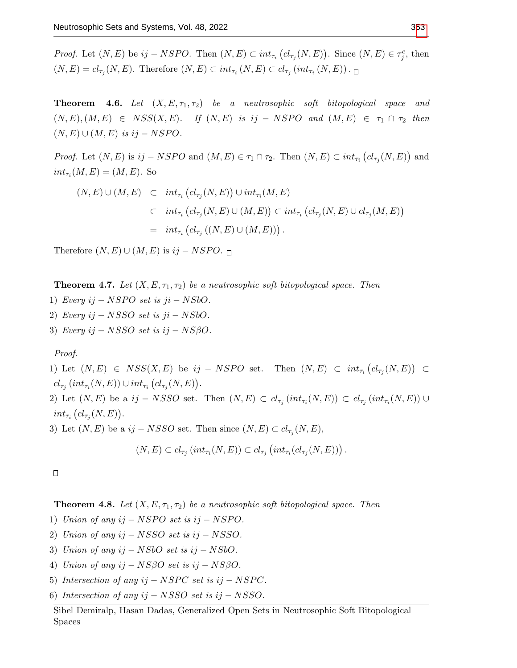*Proof.* Let  $(N, E)$  be  $ij - NSPO$ . Then  $(N, E) \subset int_{\tau_i} (cl_{\tau_j}(N, E))$ . Since  $(N, E) \in \tau_j^c$ , then  $(N, E) = cl_{\tau_j}(N, E)$ . Therefore  $(N, E) \subset int_{\tau_i}(N, E) \subset cl_{\tau_j}(int_{\tau_i}(N, E))$ .

**Theorem 4.6.** Let  $(X, E, \tau_1, \tau_2)$  be a neutrosophic soft bitopological space and  $(N, E), (M, E) \in NSS(X, E).$  If  $(N, E)$  is ij – NSPO and  $(M, E) \in \tau_1 \cap \tau_2$  then  $(N, E) \cup (M, E)$  is ij – NSPO.

*Proof.* Let  $(N, E)$  is  $ij - NSPO$  and  $(M, E) \in \tau_1 \cap \tau_2$ . Then  $(N, E) \subset int_{\tau_i} (cl_{\tau_j}(N, E))$  and  $int_{\tau_i}(M, E) = (M, E)$ . So

$$
(N, E) \cup (M, E) \subset int_{\tau_i} (cl_{\tau_j}(N, E)) \cup int_{\tau_i}(M, E)
$$
  

$$
\subset int_{\tau_i} (cl_{\tau_j}(N, E) \cup (M, E)) \subset int_{\tau_i} (cl_{\tau_j}(N, E) \cup cl_{\tau_j}(M, E))
$$
  

$$
= int_{\tau_i} (cl_{\tau_j} ((N, E) \cup (M, E))).
$$

Therefore  $(N, E) \cup (M, E)$  is  $ij - NSPO$ .

**Theorem 4.7.** Let  $(X, E, \tau_1, \tau_2)$  be a neutrosophic soft bitopological space. Then

- 1) Every  $ij NSPO$  set is  $ji NSbO$ .
- 2) Every  $ij NSSO$  set is  $ji NSbO$ .
- 3) Every ij  $-NSSO$  set is ij  $-NSSO$ .

Proof.

1) Let  $(N, E) \in NSS(X, E)$  be  $ij - NSPO$  set. Then  $(N, E) \subset int_{\tau_i}(cl_{\tau_j}(N, E)) \subset$  $cl_{\tau_j}(int_{\tau_i}(N,E)) \cup int_{\tau_i}(cl_{\tau_j}(N,E)).$ 2) Let  $(N, E)$  be a  $ij - NSSO$  set. Then  $(N, E) \subset cl_{\tau_j}(int_{\tau_i}(N, E)) \subset cl_{\tau_j}(int_{\tau_i}(N, E)) \cup$ 

 $int_{\tau_i} (cl_{\tau_j}(N,E)).$ 

3) Let  $(N, E)$  be a  $ij - NSSO$  set. Then since  $(N, E) \subset cl_{\tau_j}(N, E)$ ,

$$
(N, E) \subset cl_{\tau_j} \left( int_{\tau_i}(N, E) \right) \subset cl_{\tau_j} \left( int_{\tau_i}(cl_{\tau_j}(N, E)) \right).
$$

 $\Box$ 

**Theorem 4.8.** Let  $(X, E, \tau_1, \tau_2)$  be a neutrosophic soft bitopological space. Then

1) Union of any  $ij - NSPO$  set is  $ij - NSPO$ .

- 2) Union of any  $ij NSSO$  set is  $ij NSSO$ .
- 3) Union of any ij − NSbO set is ij − NSbO.
- 4) Union of any ij  $-NS\beta O$  set is ij  $-NS\beta O$ .
- 5) Intersection of any  $ij NSPC$  set is  $ij NSPC$ .
- 6) Intersection of any ij − NSSO set is ij − NSSO.

Sibel Demiralp, Hasan Dadas, Generalized Open Sets in Neutrosophic Soft Bitopological Spaces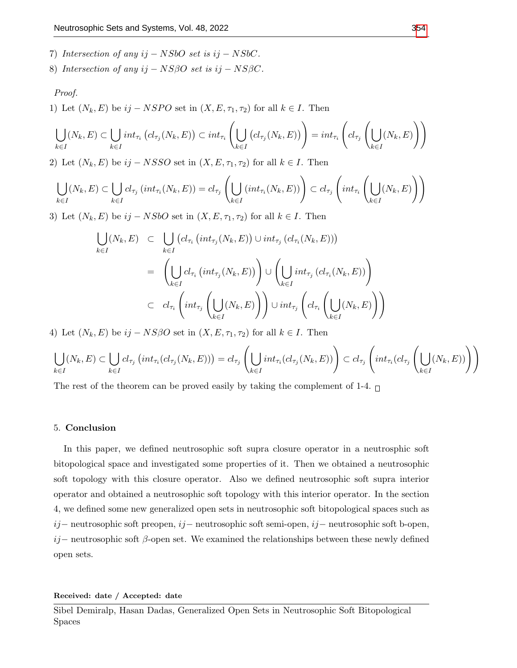- 7) Intersection of any  $ij NSbO$  set is  $ij NSbC$ .
- 8) Intersection of any ij  $-$  NS $\beta$ O set is ij  $-$  NS $\beta$ C.

#### Proof.

1) Let  $(N_k, E)$  be  $ij - NSPO$  set in  $(X, E, \tau_1, \tau_2)$  for all  $k \in I$ . Then

$$
\bigcup_{k \in I} (N_k, E) \subset \bigcup_{k \in I} int_{\tau_i} (cl_{\tau_j}(N_k, E)) \subset int_{\tau_i} \left( \bigcup_{k \in I} (cl_{\tau_j}(N_k, E)) \right) = int_{\tau_i} \left( cl_{\tau_j} \left( \bigcup_{k \in I} (N_k, E) \right) \right)
$$

2) Let  $(N_k, E)$  be  $ij - NSSO$  set in  $(X, E, \tau_1, \tau_2)$  for all  $k \in I$ . Then

$$
\bigcup_{k\in I}(N_k,E)\subset \bigcup_{k\in I}cl_{\tau_j}(int_{\tau_i}(N_k,E))=cl_{\tau_j}\left(\bigcup_{k\in I}(int_{\tau_i}(N_k,E))\right)\subset cl_{\tau_j}\left(int_{\tau_i}\left(\bigcup_{k\in I}(N_k,E)\right)\right)
$$

3) Let  $(N_k, E)$  be  $ij - NSbO$  set in  $(X, E, \tau_1, \tau_2)$  for all  $k \in I$ . Then

$$
\bigcup_{k \in I} (N_k, E) \subset \bigcup_{k \in I} (cl_{\tau_i} (int_{\tau_j} (N_k, E)) \cup int_{\tau_j} (cl_{\tau_i} (N_k, E)))
$$
\n
$$
= \left( \bigcup_{k \in I} cl_{\tau_i} (int_{\tau_j} (N_k, E)) \right) \cup \left( \bigcup_{k \in I} int_{\tau_j} (cl_{\tau_i} (N_k, E)) \right)
$$
\n
$$
\subset cl_{\tau_i} \left( int_{\tau_j} \left( \bigcup_{k \in I} (N_k, E) \right) \right) \cup int_{\tau_j} \left( cl_{\tau_i} \left( \bigcup_{k \in I} (N_k, E) \right) \right)
$$

4) Let  $(N_k, E)$  be  $ij - NS\beta O$  set in  $(X, E, \tau_1, \tau_2)$  for all  $k \in I$ . Then

$$
\bigcup_{k\in I}(N_k,E)\subset \bigcup_{k\in I}cl_{\tau_j}\left(int_{\tau_i}(cl_{\tau_j}(N_k,E))\right)=cl_{\tau_j}\left(\bigcup_{k\in I}int_{\tau_i}(cl_{\tau_j}(N_k,E))\right)\subset cl_{\tau_j}\left(int_{\tau_i}(cl_{\tau_j}\left(\bigcup_{k\in I}(N_k,E))\right)\right)
$$

The rest of the theorem can be proved easily by taking the complement of 1-4.  $\Box$ 

### 5. Conclusion

In this paper, we defined neutrosophic soft supra closure operator in a neutrosphic soft bitopological space and investigated some properties of it. Then we obtained a neutrosophic soft topology with this closure operator. Also we defined neutrosophic soft supra interior operator and obtained a neutrosophic soft topology with this interior operator. In the section 4, we defined some new generalized open sets in neutrosophic soft bitopological spaces such as ij− neutrosophic soft preopen, ij− neutrosophic soft semi-open, ij− neutrosophic soft b-open, ij– neutrosophic soft  $\beta$ -open set. We examined the relationships between these newly defined open sets.

Received: date / Accepted: date

Sibel Demiralp, Hasan Dadas, Generalized Open Sets in Neutrosophic Soft Bitopological Spaces